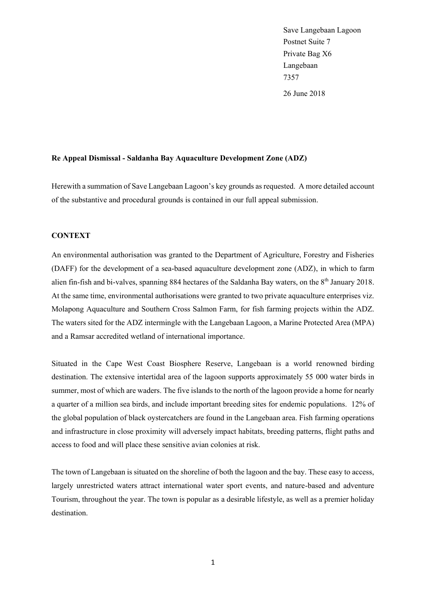Save Langebaan Lagoon Postnet Suite 7 Private Bag X6 Langebaan 7357 26 June 2018

#### **Re Appeal Dismissal - Saldanha Bay Aquaculture Development Zone (ADZ)**

Herewith a summation of Save Langebaan Lagoon's key grounds as requested. A more detailed account of the substantive and procedural grounds is contained in our full appeal submission.

### **CONTEXT**

An environmental authorisation was granted to the Department of Agriculture, Forestry and Fisheries (DAFF) for the development of a sea-based aquaculture development zone (ADZ), in which to farm alien fin-fish and bi-valves, spanning 884 hectares of the Saldanha Bay waters, on the 8<sup>th</sup> January 2018. At the same time, environmental authorisations were granted to two private aquaculture enterprises viz. Molapong Aquaculture and Southern Cross Salmon Farm, for fish farming projects within the ADZ. The waters sited for the ADZ intermingle with the Langebaan Lagoon, a Marine Protected Area (MPA) and a Ramsar accredited wetland of international importance.

Situated in the Cape West Coast Biosphere Reserve, Langebaan is a world renowned birding destination. The extensive intertidal area of the lagoon supports approximately 55 000 water birds in summer, most of which are waders. The five islands to the north of the lagoon provide a home for nearly a quarter of a million sea birds, and include important breeding sites for endemic populations. 12% of the global population of black oystercatchers are found in the Langebaan area. Fish farming operations and infrastructure in close proximity will adversely impact habitats, breeding patterns, flight paths and access to food and will place these sensitive avian colonies at risk.

The town of Langebaan is situated on the shoreline of both the lagoon and the bay. These easy to access, largely unrestricted waters attract international water sport events, and nature-based and adventure Tourism, throughout the year. The town is popular as a desirable lifestyle, as well as a premier holiday destination.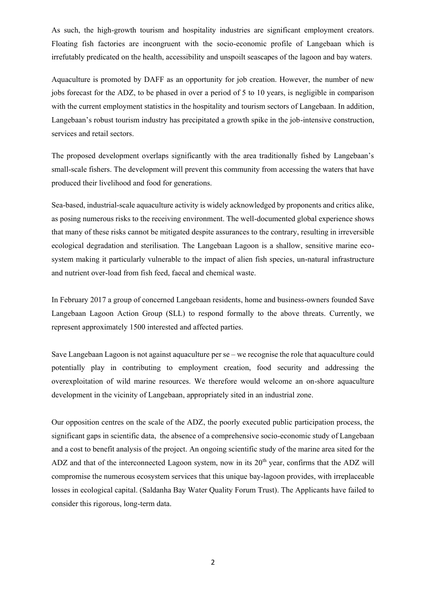As such, the high-growth tourism and hospitality industries are significant employment creators. Floating fish factories are incongruent with the socio-economic profile of Langebaan which is irrefutably predicated on the health, accessibility and unspoilt seascapes of the lagoon and bay waters.

Aquaculture is promoted by DAFF as an opportunity for job creation. However, the number of new jobs forecast for the ADZ, to be phased in over a period of 5 to 10 years, is negligible in comparison with the current employment statistics in the hospitality and tourism sectors of Langebaan. In addition, Langebaan's robust tourism industry has precipitated a growth spike in the job-intensive construction, services and retail sectors.

The proposed development overlaps significantly with the area traditionally fished by Langebaan's small-scale fishers. The development will prevent this community from accessing the waters that have produced their livelihood and food for generations.

Sea-based, industrial-scale aquaculture activity is widely acknowledged by proponents and critics alike, as posing numerous risks to the receiving environment. The well-documented global experience shows that many of these risks cannot be mitigated despite assurances to the contrary, resulting in irreversible ecological degradation and sterilisation. The Langebaan Lagoon is a shallow, sensitive marine ecosystem making it particularly vulnerable to the impact of alien fish species, un-natural infrastructure and nutrient over-load from fish feed, faecal and chemical waste.

In February 2017 a group of concerned Langebaan residents, home and business-owners founded Save Langebaan Lagoon Action Group (SLL) to respond formally to the above threats. Currently, we represent approximately 1500 interested and affected parties.

Save Langebaan Lagoon is not against aquaculture per se – we recognise the role that aquaculture could potentially play in contributing to employment creation, food security and addressing the overexploitation of wild marine resources. We therefore would welcome an on-shore aquaculture development in the vicinity of Langebaan, appropriately sited in an industrial zone.

Our opposition centres on the scale of the ADZ, the poorly executed public participation process, the significant gaps in scientific data, the absence of a comprehensive socio-economic study of Langebaan and a cost to benefit analysis of the project. An ongoing scientific study of the marine area sited for the ADZ and that of the interconnected Lagoon system, now in its  $20<sup>th</sup>$  year, confirms that the ADZ will compromise the numerous ecosystem services that this unique bay-lagoon provides, with irreplaceable losses in ecological capital. (Saldanha Bay Water Quality Forum Trust). The Applicants have failed to consider this rigorous, long-term data.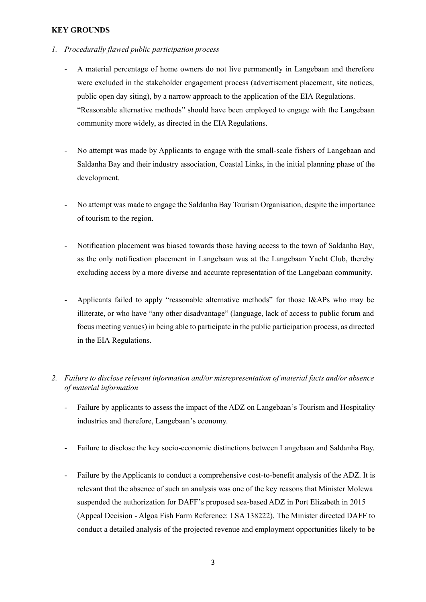### **KEY GROUNDS**

- *1. Procedurally flawed public participation process*
	- A material percentage of home owners do not live permanently in Langebaan and therefore were excluded in the stakeholder engagement process (advertisement placement, site notices, public open day siting), by a narrow approach to the application of the EIA Regulations. "Reasonable alternative methods" should have been employed to engage with the Langebaan community more widely, as directed in the EIA Regulations.
	- No attempt was made by Applicants to engage with the small-scale fishers of Langebaan and Saldanha Bay and their industry association, Coastal Links, in the initial planning phase of the development.
	- No attempt was made to engage the Saldanha Bay Tourism Organisation, despite the importance of tourism to the region.
	- Notification placement was biased towards those having access to the town of Saldanha Bay, as the only notification placement in Langebaan was at the Langebaan Yacht Club, thereby excluding access by a more diverse and accurate representation of the Langebaan community.
	- Applicants failed to apply "reasonable alternative methods" for those I&APs who may be illiterate, or who have "any other disadvantage" (language, lack of access to public forum and focus meeting venues) in being able to participate in the public participation process, as directed in the EIA Regulations.
- *2. Failure to disclose relevant information and/or misrepresentation of material facts and/or absence of material information*
	- Failure by applicants to assess the impact of the ADZ on Langebaan's Tourism and Hospitality industries and therefore, Langebaan's economy.
	- Failure to disclose the key socio-economic distinctions between Langebaan and Saldanha Bay.
	- Failure by the Applicants to conduct a comprehensive cost-to-benefit analysis of the ADZ. It is relevant that the absence of such an analysis was one of the key reasons that Minister Molewa suspended the authorization for DAFF's proposed sea-based ADZ in Port Elizabeth in 2015 (Appeal Decision - Algoa Fish Farm Reference: LSA 138222). The Minister directed DAFF to conduct a detailed analysis of the projected revenue and employment opportunities likely to be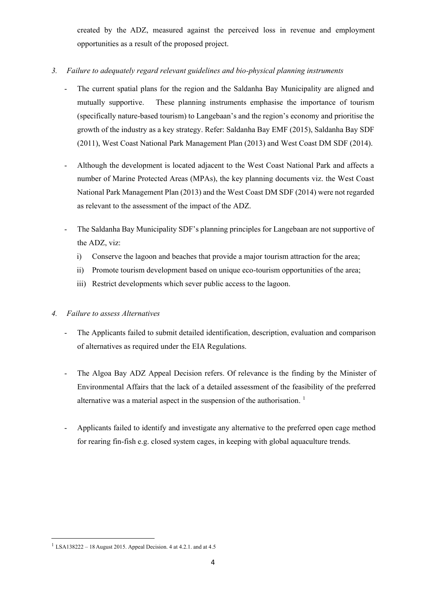created by the ADZ, measured against the perceived loss in revenue and employment opportunities as a result of the proposed project.

# *3. Failure to adequately regard relevant guidelines and bio-physical planning instruments*

- The current spatial plans for the region and the Saldanha Bay Municipality are aligned and mutually supportive. These planning instruments emphasise the importance of tourism (specifically nature-based tourism) to Langebaan's and the region's economy and prioritise the growth of the industry as a key strategy. Refer: Saldanha Bay EMF (2015), Saldanha Bay SDF (2011), West Coast National Park Management Plan (2013) and West Coast DM SDF (2014).
- Although the development is located adjacent to the West Coast National Park and affects a number of Marine Protected Areas (MPAs), the key planning documents viz. the West Coast National Park Management Plan (2013) and the West Coast DM SDF (2014) were not regarded as relevant to the assessment of the impact of the ADZ.
- The Saldanha Bay Municipality SDF's planning principles for Langebaan are not supportive of the ADZ, viz:
	- i) Conserve the lagoon and beaches that provide a major tourism attraction for the area;
	- ii) Promote tourism development based on unique eco-tourism opportunities of the area;
	- iii) Restrict developments which sever public access to the lagoon.

# *4. Failure to assess Alternatives*

- The Applicants failed to submit detailed identification, description, evaluation and comparison of alternatives as required under the EIA Regulations.
- The Algoa Bay ADZ Appeal Decision refers. Of relevance is the finding by the Minister of Environmental Affairs that the lack of a detailed assessment of the feasibility of the preferred alternative was a material aspect in the suspension of the authorisation.<sup>1</sup>
- Applicants failed to identify and investigate any alternative to the preferred open cage method for rearing fin-fish e.g. closed system cages, in keeping with global aquaculture trends.

**.** 

<sup>&</sup>lt;sup>1</sup> LSA138222 – 18 August 2015. Appeal Decision. 4 at 4.2.1. and at 4.5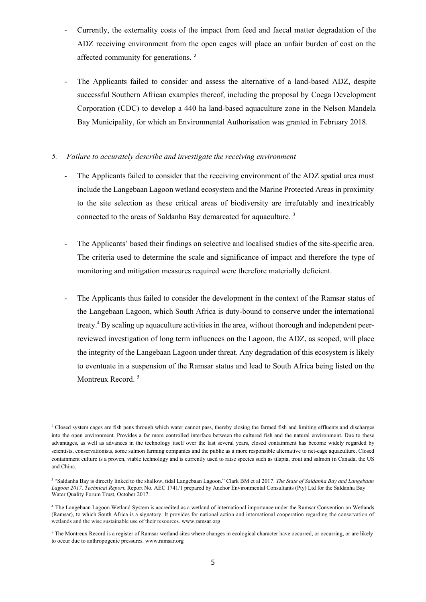- Currently, the externality costs of the impact from feed and faecal matter degradation of the ADZ receiving environment from the open cages will place an unfair burden of cost on the affected community for generations. <sup>2</sup>
- The Applicants failed to consider and assess the alternative of a land-based ADZ, despite successful Southern African examples thereof, including the proposal by Coega Development Corporation (CDC) to develop a 440 ha land-based aquaculture zone in the Nelson Mandela Bay Municipality, for which an Environmental Authorisation was granted in February 2018.

### *5. Failure to accurately describe and investigate the receiving environment*

- The Applicants failed to consider that the receiving environment of the ADZ spatial area must include the Langebaan Lagoon wetland ecosystem and the Marine Protected Areas in proximity to the site selection as these critical areas of biodiversity are irrefutably and inextricably connected to the areas of Saldanha Bay demarcated for aquaculture. <sup>3</sup>
- The Applicants' based their findings on selective and localised studies of the site-specific area. The criteria used to determine the scale and significance of impact and therefore the type of monitoring and mitigation measures required were therefore materially deficient.
- The Applicants thus failed to consider the development in the context of the Ramsar status of the Langebaan Lagoon, which South Africa is duty-bound to conserve under the international treaty.<sup>4</sup> By scaling up aquaculture activities in the area, without thorough and independent peerreviewed investigation of long term influences on the Lagoon, the ADZ, as scoped, will place the integrity of the Langebaan Lagoon under threat. Any degradation of this ecosystem is likely to eventuate in a suspension of the Ramsar status and lead to South Africa being listed on the Montreux Record.<sup>5</sup>

**.** 

<sup>&</sup>lt;sup>2</sup> Closed system cages are fish pens through which water cannot pass, thereby closing the farmed fish and limiting effluents and discharges into the open environment. Provides a far more controlled interface between the cultured fish and the natural environment. Due to these advantages, as well as advances in the technology itself over the last several years, closed containment has become widely regarded by scientists, conservationists, some salmon farming companies and the public as a more responsible alternative to net-cage aquaculture. Closed containment culture is a proven, viable technology and is currently used to raise species such as tilapia, trout and salmon in Canada, the US and China.

<sup>3</sup> "Saldanha Bay is directly linked to the shallow, tidal Langebaan Lagoon." Clark BM et al 2017. *The State of Saldanha Bay and Langebaan Lagoon 2017, Technical Report.* Report No. AEC 1741/1 prepared by Anchor Environmental Consultants (Pty) Ltd for the Saldanha Bay Water Quality Forum Trust, October 2017.

<sup>4</sup> The Langebaan Lagoon Wetland System is accredited as a wetland of international importance under the Ramsar Convention on Wetlands (Ramsar), to which South Africa is a signatory. It provides for national action and international cooperation regarding the conservation of wetlands and the wise sustainable use of their resources. www.ramsar.org

<sup>&</sup>lt;sup>5</sup> The Montreux Record is a register of Ramsar wetland sites where changes in ecological character have occurred, or occurring, or are likely to occur due to anthropogenic pressures. www.ramsar.org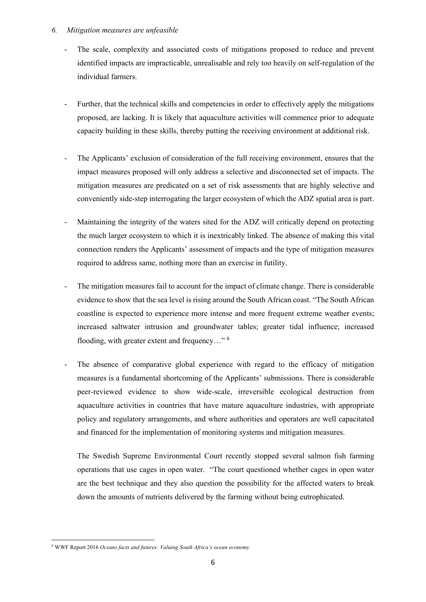### *6. Mitigation measures are unfeasible*

- The scale, complexity and associated costs of mitigations proposed to reduce and prevent identified impacts are impracticable, unrealisable and rely too heavily on self-regulation of the individual farmers.
- Further, that the technical skills and competencies in order to effectively apply the mitigations proposed, are lacking. It is likely that aquaculture activities will commence prior to adequate capacity building in these skills, thereby putting the receiving environment at additional risk.
- The Applicants' exclusion of consideration of the full receiving environment, ensures that the impact measures proposed will only address a selective and disconnected set of impacts. The mitigation measures are predicated on a set of risk assessments that are highly selective and conveniently side-step interrogating the larger ecosystem of which the ADZ spatial area is part.
- Maintaining the integrity of the waters sited for the ADZ will critically depend on protecting the much larger ecosystem to which it is inextricably linked. The absence of making this vital connection renders the Applicants' assessment of impacts and the type of mitigation measures required to address same, nothing more than an exercise in futility.
- The mitigation measures fail to account for the impact of climate change. There is considerable evidence to show that the sea level is rising around the South African coast. "The South African coastline is expected to experience more intense and more frequent extreme weather events; increased saltwater intrusion and groundwater tables; greater tidal influence; increased flooding, with greater extent and frequency…" <sup>6</sup>
- The absence of comparative global experience with regard to the efficacy of mitigation measures is a fundamental shortcoming of the Applicants' submissions. There is considerable peer-reviewed evidence to show wide-scale, irreversible ecological destruction from aquaculture activities in countries that have mature aquaculture industries, with appropriate policy and regulatory arrangements, and where authorities and operators are well capacitated and financed for the implementation of monitoring systems and mitigation measures.

The Swedish Supreme Environmental Court recently stopped several salmon fish farming operations that use cages in open water. "The court questioned whether cages in open water are the best technique and they also question the possibility for the affected waters to break down the amounts of nutrients delivered by the farming without being eutrophicated.

**<sup>.</sup>** <sup>6</sup> WWF Report 2016 *Oceans facts and futures: Valuing South Africa's ocean economy*